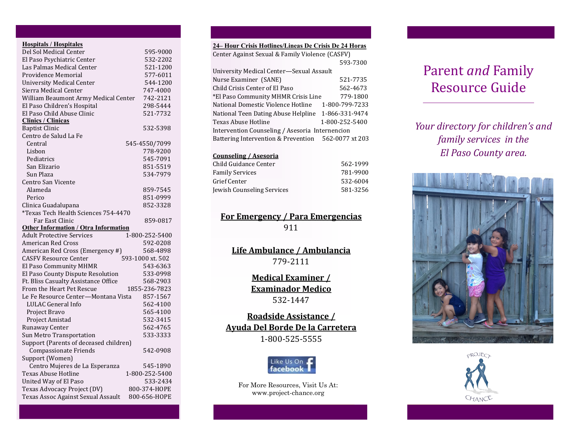| <b>Hospitals / Hospitales</b>               |                  |
|---------------------------------------------|------------------|
| Del Sol Medical Center                      | 595-9000         |
| El Paso Psychiatric Center                  | 532-2202         |
| Las Palmas Medical Center                   | 521-1200         |
| Providence Memorial                         | 577-6011         |
| <b>University Medical Center</b>            | 544-1200         |
| Sierra Medical Center                       | 747-4000         |
| William Beaumont Army Medical Center        | 742-2121         |
| El Paso Children's Hospital                 | 298-5444         |
| El Paso Child Abuse Clinic                  | 521-7732         |
| <b>Clinics / Clinicas</b>                   |                  |
| <b>Baptist Clinic</b>                       | 532-5398         |
| Centro de Salud La Fe                       |                  |
| Central                                     | 545-4550/7099    |
| Lisbon                                      | 778-9200         |
| Pediatrics                                  | 545-7091         |
| San Elizario                                | 851-5519         |
| Sun Plaza                                   | 534-7979         |
| Centro San Vicente                          |                  |
| Alameda                                     | 859-7545         |
| Perico                                      | 851-0999         |
| Clinica Guadalupana                         | 852-3328         |
| *Texas Tech Health Sciences 754-4470        |                  |
| Far East Clinic                             | 859-0817         |
| <b>Other Information / Otra Information</b> |                  |
| <b>Adult Protective Services</b>            | 1-800-252-5400   |
| <b>American Red Cross</b>                   | 592-0208         |
| American Red Cross (Emergency #)            | 568-4898         |
| <b>CASFV Resource Center</b>                | 593-1000 xt. 502 |
| El Paso Community MHMR                      | 543-6363         |
| El Paso County Dispute Resolution           | 533-0998         |
| Ft. Bliss Casualty Assistance Office        | 568-2903         |
| From the Heart Pet Rescue                   | 1855-236-7823    |
| Le Fe Resource Center-Montana Vista         | 857-1567         |
| LULAC General Info                          | 562-4100         |
| Project Bravo                               | 565-4100         |
| Project Amistad                             | 532-3415         |
| Runaway Center                              | 562-4765         |
| Sun Metro Transportation                    | 533-3333         |
| Support (Parents of deceased children)      |                  |
| <b>Compassionate Friends</b>                | 542-0908         |
| Support (Women)                             |                  |
| Centro Mujeres de La Esperanza              | 545-1890         |
| Texas Abuse Hotline                         | 1-800-252-5400   |
| United Way of El Paso                       | 533-2434         |
| Texas Advocacy Project (DV)                 | 800-374-HOPE     |
| Texas Assoc Against Sexual Assault          | 800-656-HOPE     |

## **24– Hour Crisis Hotlines/Lineas De Crisis De 24 Horas**

| Center Against Sexual & Family Violence (CASFV)     |                |  |  |
|-----------------------------------------------------|----------------|--|--|
|                                                     | 593-7300       |  |  |
| University Medical Center-Sexual Assault            |                |  |  |
| Nurse Examiner (SANE)                               | 521-7735       |  |  |
| Child Crisis Center of El Paso                      | 562-4673       |  |  |
| *El Paso Community MHMR Crisis Line                 | 779-1800       |  |  |
| National Domestic Violence Hotline                  | 1-800-799-7233 |  |  |
| National Teen Dating Abuse Helpline                 | 1-866-331-9474 |  |  |
| Texas Abuse Hotline                                 | 1-800-252-5400 |  |  |
| Intervention Counseling / Asesoria Internencion     |                |  |  |
| Battering Intervention & Prevention 562-0077 xt 203 |                |  |  |
|                                                     |                |  |  |

#### **Counseling / Asesoria**

| Child Guidance Center      | 562-1999 |
|----------------------------|----------|
| <b>Family Services</b>     | 781-9900 |
| Grief Center               | 532-6004 |
| Jewish Counseling Services | 581-3256 |

### **For Emergency / Para Emergencias** 911

**Life Ambulance / Ambulancia** 779-2111

> **Medical Examiner / Examinador Medico** 532-1447

**Roadside Assistance / Ayuda Del Borde De la Carretera** 1-800-525-5555



For More Resources, Visit Us At: www.project-chance.org

# Parent *and* Family Resource Guide

*Your directory for children's and family services in the El Paso County area.*